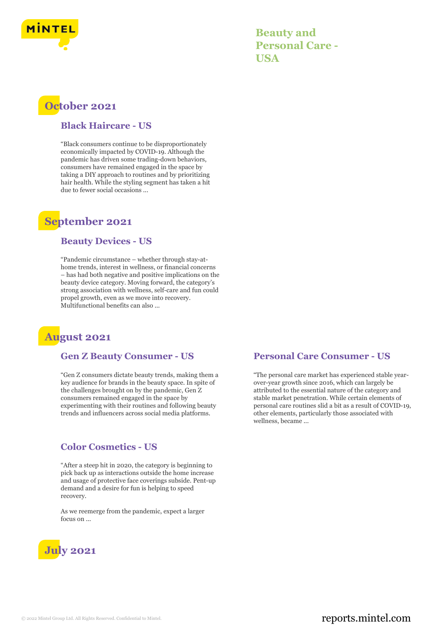

**Beauty and Personal Care - USA**

# **October 2021**

#### **Black Haircare - US**

"Black consumers continue to be disproportionately economically impacted by COVID-19. Although the pandemic has driven some trading-down behaviors, consumers have remained engaged in the space by taking a DIY approach to routines and by prioritizing hair health. While the styling segment has taken a hit due to fewer social occasions ...

## **September 2021**

#### **Beauty Devices - US**

"Pandemic circumstance – whether through stay-athome trends, interest in wellness, or financial concerns – has had both negative and positive implications on the beauty device category. Moving forward, the category's strong association with wellness, self-care and fun could propel growth, even as we move into recovery. Multifunctional benefits can also ...

# **August 2021**

#### **Gen Z Beauty Consumer - US**

"Gen Z consumers dictate beauty trends, making them a key audience for brands in the beauty space. In spite of the challenges brought on by the pandemic, Gen Z consumers remained engaged in the space by experimenting with their routines and following beauty trends and influencers across social media platforms.

### **Color Cosmetics - US**

"After a steep hit in 2020, the category is beginning to pick back up as interactions outside the home increase and usage of protective face coverings subside. Pent-up demand and a desire for fun is helping to speed recovery.

As we reemerge from the pandemic, expect a larger focus on ...



### **Personal Care Consumer - US**

"The personal care market has experienced stable yearover-year growth since 2016, which can largely be attributed to the essential nature of the category and stable market penetration. While certain elements of personal care routines slid a bit as a result of COVID-19, other elements, particularly those associated with wellness, became ...